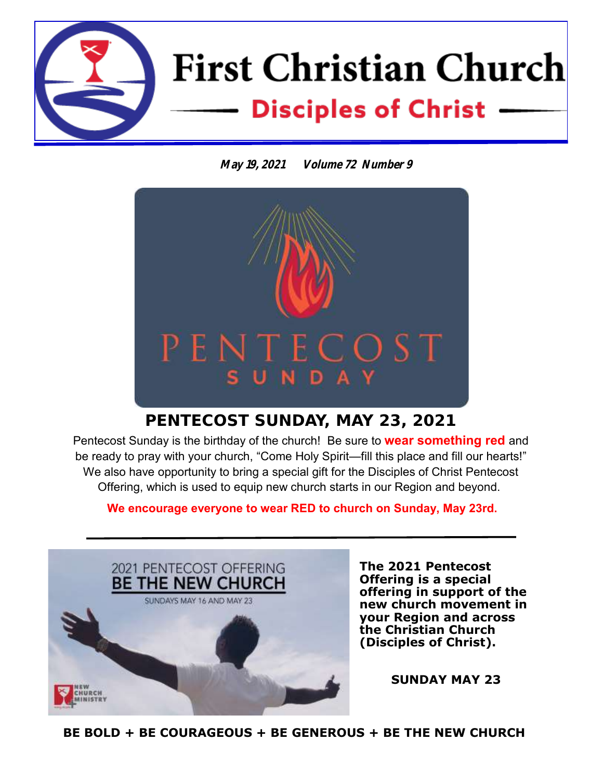

**May 19, 2021 Volume 72 Number 9**



### **PENTECOST SUNDAY, MAY 23, 2021**

Pentecost Sunday is the birthday of the church! Be sure to **wear something red** and be ready to pray with your church, "Come Holy Spirit—fill this place and fill our hearts!" We also have opportunity to bring a special gift for the Disciples of Christ Pentecost Offering, which is used to equip new church starts in our Region and beyond.

**We encourage everyone to wear RED to church on Sunday, May 23rd.**



**The 2021 Pentecost Offering is a special offering in support of the new church movement in your Region and across the Christian Church (Disciples of Christ).** 

**SUNDAY MAY 23**

**BE BOLD + BE COURAGEOUS + BE GENEROUS + BE THE NEW CHURCH**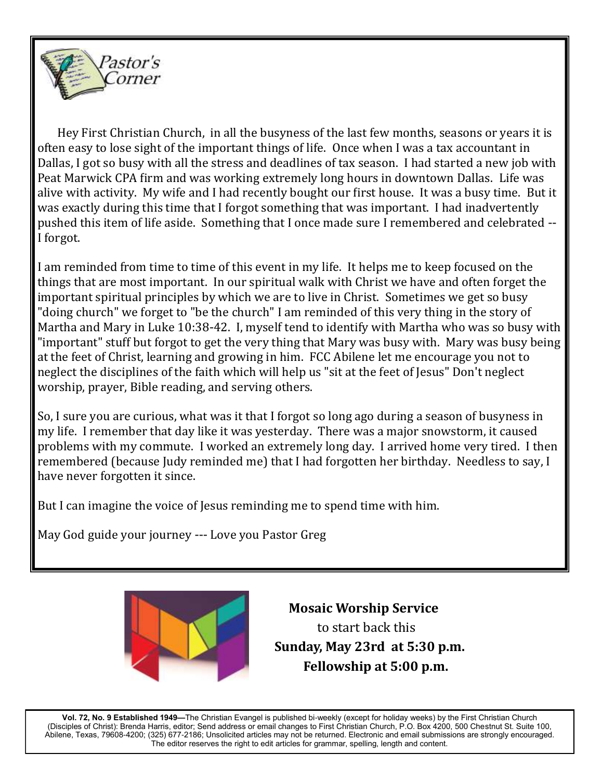

 Hey First Christian Church, in all the busyness of the last few months, seasons or years it is often easy to lose sight of the important things of life. Once when I was a tax accountant in Dallas, I got so busy with all the stress and deadlines of tax season. I had started a new job with Peat Marwick CPA firm and was working extremely long hours in downtown Dallas. Life was alive with activity. My wife and I had recently bought our first house. It was a busy time. But it was exactly during this time that I forgot something that was important. I had inadvertently pushed this item of life aside. Something that I once made sure I remembered and celebrated -- I forgot.

I am reminded from time to time of this event in my life. It helps me to keep focused on the things that are most important. In our spiritual walk with Christ we have and often forget the important spiritual principles by which we are to live in Christ. Sometimes we get so busy "doing church" we forget to "be the church" I am reminded of this very thing in the story of Martha and Mary in Luke 10:38-42. I, myself tend to identify with Martha who was so busy with "important" stuff but forgot to get the very thing that Mary was busy with. Mary was busy being at the feet of Christ, learning and growing in him. FCC Abilene let me encourage you not to neglect the disciplines of the faith which will help us "sit at the feet of Jesus" Don't neglect worship, prayer, Bible reading, and serving others.

So, I sure you are curious, what was it that I forgot so long ago during a season of busyness in my life. I remember that day like it was yesterday. There was a major snowstorm, it caused problems with my commute. I worked an extremely long day. I arrived home very tired. I then remembered (because Judy reminded me) that I had forgotten her birthday. Needless to say, I have never forgotten it since.

But I can imagine the voice of Jesus reminding me to spend time with him.

May God guide your journey --- Love you Pastor Greg



 **Mosaic Worship Service**  to start back this  **Sunday, May 23rd at 5:30 p.m. Fellowship at 5:00 p.m.**

**Vol. 72, No. 9 Established 1949—**The Christian Evangel is published bi-weekly (except for holiday weeks) by the First Christian Church (Disciples of Christ): Brenda Harris, editor; Send address or email changes to First Christian Church, P.O. Box 4200, 500 Chestnut St. Suite 100, Abilene, Texas, 79608-4200; (325) 677-2186; Unsolicited articles may not be returned. Electronic and email submissions are strongly encouraged. The editor reserves the right to edit articles for grammar, spelling, length and content.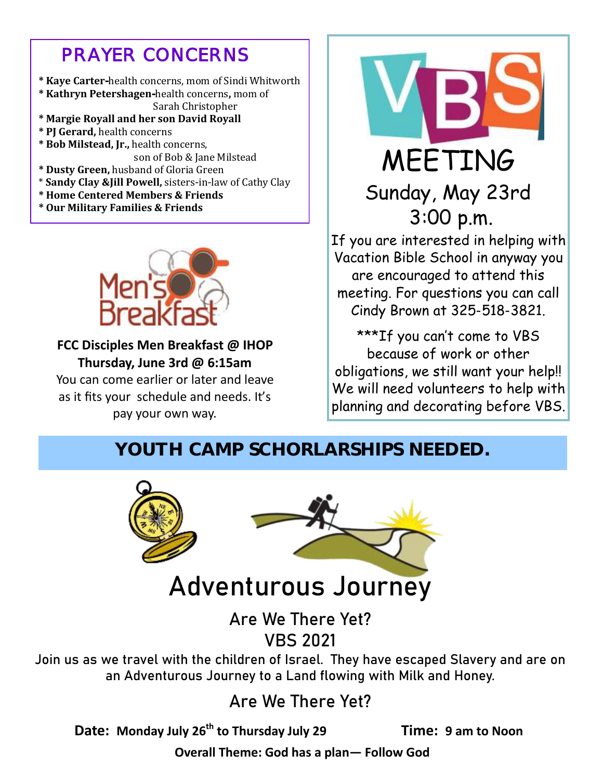## *PRAYER CONCERNS*

- **\* Kaye Carter-**health concerns, mom of Sindi Whitworth
- **\* Kathryn Petershagen-**health concerns**,** mom of Sarah Christopher
- **\* Margie Royall and her son David Royall**
- **\* PJ Gerard,** health concerns
- **\* Bob Milstead, Jr.,** health concerns, son of Bob & Jane Milstead
- **\* Dusty Green,** husband of Gloria Green
- \* **Sandy Clay &Jill Powell,** sisters-in-law of Cathy Clay
- **\* Home Centered Members & Friends**
- **\* Our Military Families & Friends**



**FCC Disciples Men Breakfast @ IHOP Thursday, June 3rd @ 6:15am** You can come earlier or later and leave

as it fits your schedule and needs. It's pay your own way.



# Sunday, May 23rd 3:00 p.m.

If you are interested in helping with Vacation Bible School in anyway you are encouraged to attend this meeting. For questions you can call Cindy Brown at 325-518-3821.

\*\*\*If you can't come to VBS because of work or other obligations, we still want your help!! We will need volunteers to help with planning and decorating before VBS.

## YOUTH CAMP SCHORLARSHIPS NEEDED.



# **Adventurous Journey**

## **Are We There Yet? VBS 2021**

**Join us as we travel with the children of Israel. They have escaped Slavery and are on an Adventurous Journey to a Land flowing with Milk and Honey.**

## **Are We There Yet?**

**Date: Monday July 26th to Thursday July 29 Time: 9 am to Noon**

**Overall Theme: God has a plan— Follow God**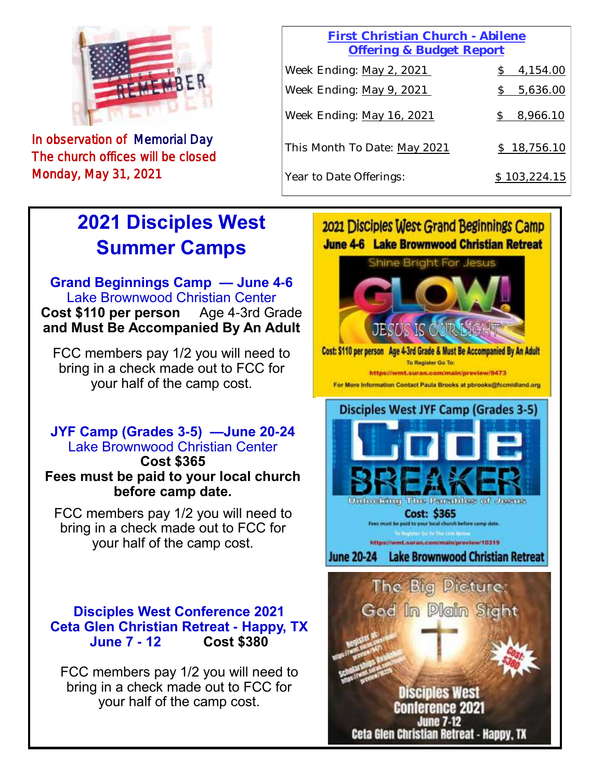

In observation of Memorial Day The church offices will be closed Monday, May 31, 2021

#### **First Christian Church - Abilene Offering & Budget Report**

| Week Ending: May 2, 2021     | 4,154.00     |
|------------------------------|--------------|
| Week Ending: May 9, 2021     | 5,636.00     |
| Week Ending: May 16, 2021    | 8,966.10     |
| This Month To Date: May 2021 | \$18,756.10  |
| Year to Date Offerings:      | \$103,224.15 |

# **2021 Disciples West Summer Camps**

**Grand Beginnings Camp — June 4-6** Lake Brownwood Christian Center **Cost \$110 per person** Age 4-3rd Grade **and Must Be Accompanied By An Adult**

FCC members pay 1/2 you will need to bring in a check made out to FCC for your half of the camp cost.

#### **JYF Camp (Grades 3-5) —June 20-24** Lake Brownwood Christian Center **Cost \$365**

**Fees must be paid to your local church before camp date.**

FCC members pay 1/2 you will need to bring in a check made out to FCC for your half of the camp cost.

#### **Disciples West Conference 2021 Ceta Glen Christian Retreat - Happy, TX June 7 - 12 Cost \$380**

FCC members pay 1/2 you will need to bring in a check made out to FCC for your half of the camp cost.